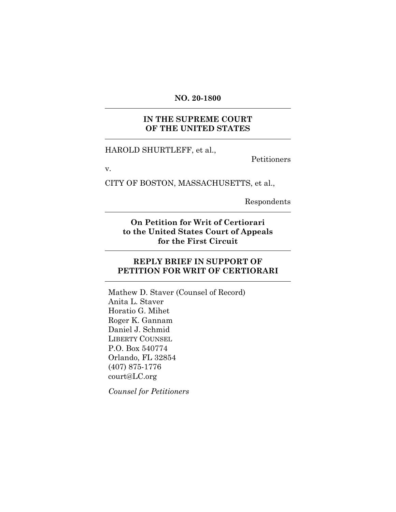### **NO. 20-1800**

### **IN THE SUPREME COURT OF THE UNITED STATES**

HAROLD SHURTLEFF, et al.,

Petitioners

v.

CITY OF BOSTON, MASSACHUSETTS, et al.,

Respondents

**On Petition for Writ of Certiorari to the United States Court of Appeals for the First Circuit** 

### **REPLY BRIEF IN SUPPORT OF PETITION FOR WRIT OF CERTIORARI**

Mathew D. Staver (Counsel of Record) Anita L. Staver Horatio G. Mihet Roger K. Gannam Daniel J. Schmid LIBERTY COUNSEL P.O. Box 540774 Orlando, FL 32854 (407) 875-1776 court@LC.org

*Counsel for Petitioners*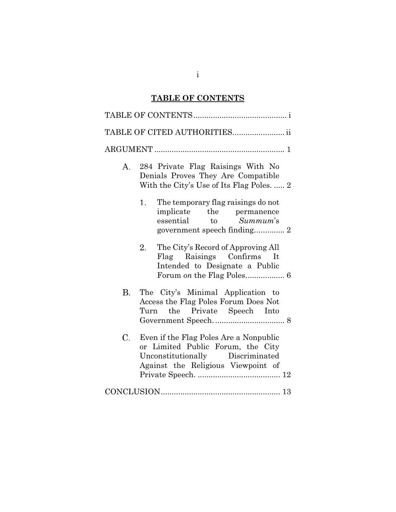# **TABLE OF CONTENTS**

| TABLE OF CITED AUTHORITIES ii                                                                                                                               |  |
|-------------------------------------------------------------------------------------------------------------------------------------------------------------|--|
|                                                                                                                                                             |  |
| 284 Private Flag Raisings With No<br>А.<br>Denials Proves They Are Compatible<br>With the City's Use of Its Flag Poles.  2                                  |  |
| The temporary flag raisings do not<br>1.<br>implicate the permanence<br>essential to Summum's<br>government speech finding 2                                |  |
| The City's Record of Approving All<br>2.<br>Flag Raisings Confirms It<br>Intended to Designate a Public                                                     |  |
| В.<br>The City's Minimal Application to<br>Access the Flag Poles Forum Does Not<br>Turn the Private Speech Into                                             |  |
| Even if the Flag Poles Are a Nonpublic<br>C.<br>or Limited Public Forum, the City<br>Unconstitutionally Discriminated<br>Against the Religious Viewpoint of |  |
|                                                                                                                                                             |  |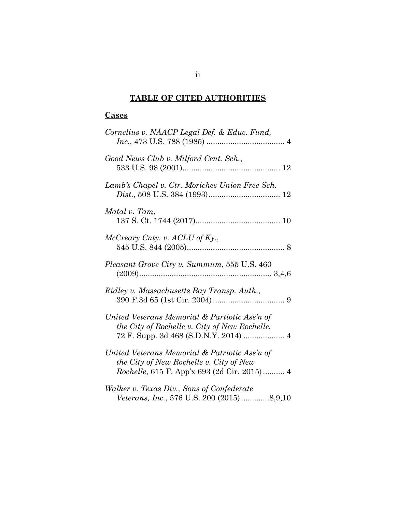# **TABLE OF CITED AUTHORITIES**

# **Cases**

| Cornelius v. NAACP Legal Def. & Educ. Fund,                                                                                                     |
|-------------------------------------------------------------------------------------------------------------------------------------------------|
| Good News Club v. Milford Cent. Sch.,                                                                                                           |
| Lamb's Chapel v. Ctr. Moriches Union Free Sch.                                                                                                  |
| Matal v. Tam,                                                                                                                                   |
| McCreary Cnty. v. ACLU of Ky.,                                                                                                                  |
| Pleasant Grove City v. Summum, 555 U.S. 460                                                                                                     |
| Ridley v. Massachusetts Bay Transp. Auth.,                                                                                                      |
| United Veterans Memorial & Partiotic Ass'n of<br>the City of Rochelle v. City of New Rochelle,                                                  |
| United Veterans Memorial & Patriotic Ass'n of<br>the City of New Rochelle v. City of New<br><i>Rochelle</i> , 615 F. App'x 693 (2d Cir. 2015) 4 |
| Walker v. Texas Div., Sons of Confederate<br>Veterans, Inc., 576 U.S. 200 (2015) 8,9,10                                                         |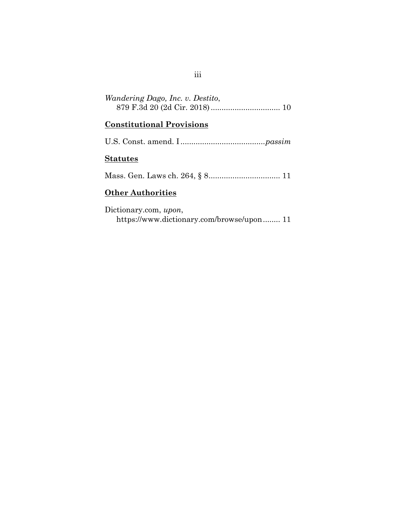| <i>Wandering Dago, Inc. v. Destito,</i> |  |
|-----------------------------------------|--|
|                                         |  |

### **Constitutional Provisions**

## **Statutes**

Mass. Gen. Laws ch. 264, § 8 ................................. 11

### **Other Authorities**

Dictionary.com, *upon*, https://www.dictionary.com/browse/upon ........ 11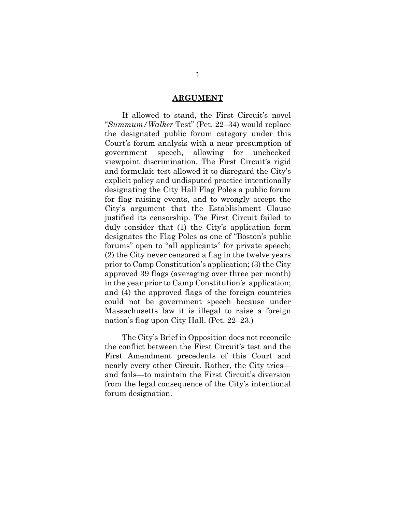#### **ARGUMENT**

 If allowed to stand, the First Circuit's novel "*Summum/Walker* Test" (Pet. 22–34) would replace the designated public forum category under this Court's forum analysis with a near presumption of government speech, allowing for unchecked viewpoint discrimination. The First Circuit's rigid and formulaic test allowed it to disregard the City's explicit policy and undisputed practice intentionally designating the City Hall Flag Poles a public forum for flag raising events, and to wrongly accept the City's argument that the Establishment Clause justified its censorship. The First Circuit failed to duly consider that (1) the City's application form designates the Flag Poles as one of "Boston's public forums" open to "all applicants" for private speech; (2) the City never censored a flag in the twelve years prior to Camp Constitution's application; (3) the City approved 39 flags (averaging over three per month) in the year prior to Camp Constitution's application; and (4) the approved flags of the foreign countries could not be government speech because under Massachusetts law it is illegal to raise a foreign nation's flag upon City Hall. (Pet. 22–23.)

 The City's Brief in Opposition does not reconcile the conflict between the First Circuit's test and the First Amendment precedents of this Court and nearly every other Circuit. Rather, the City tries and fails—to maintain the First Circuit's diversion from the legal consequence of the City's intentional forum designation.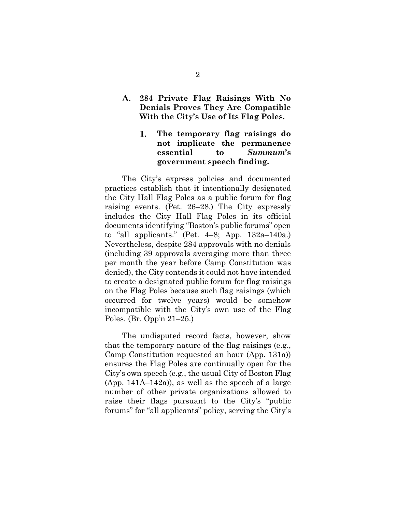#### **284 Private Flag Raisings With No**  A. **Denials Proves They Are Compatible With the City's Use of Its Flag Poles.**

#### **The temporary flag raisings do**  1. **not implicate the permanence essential to** *Summum***'s government speech finding.**

 The City's express policies and documented practices establish that it intentionally designated the City Hall Flag Poles as a public forum for flag raising events. (Pet. 26–28.) The City expressly includes the City Hall Flag Poles in its official documents identifying "Boston's public forums" open to "all applicants." (Pet. 4–8; App. 132a–140a.) Nevertheless, despite 284 approvals with no denials (including 39 approvals averaging more than three per month the year before Camp Constitution was denied), the City contends it could not have intended to create a designated public forum for flag raisings on the Flag Poles because such flag raisings (which occurred for twelve years) would be somehow incompatible with the City's own use of the Flag Poles. (Br. Opp'n 21–25.)

 The undisputed record facts, however, show that the temporary nature of the flag raisings (e.g., Camp Constitution requested an hour (App. 131a)) ensures the Flag Poles are continually open for the City's own speech (e.g., the usual City of Boston Flag (App. 141A–142a)), as well as the speech of a large number of other private organizations allowed to raise their flags pursuant to the City's "public forums" for "all applicants" policy, serving the City's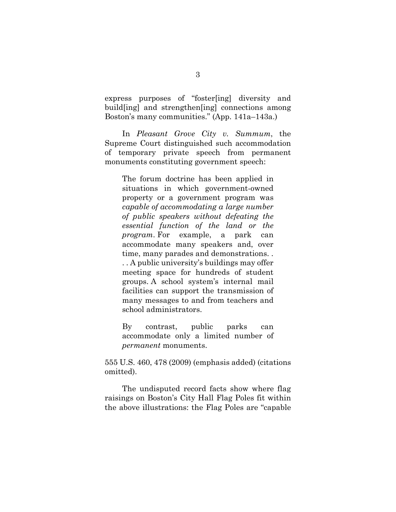express purposes of "foster[ing] diversity and build[ing] and strengthen[ing] connections among Boston's many communities." (App. 141a–143a.)

 In *Pleasant Grove City v. Summum*, the Supreme Court distinguished such accommodation of temporary private speech from permanent monuments constituting government speech:

The forum doctrine has been applied in situations in which government-owned property or a government program was *capable of accommodating a large number of public speakers without defeating the essential function of the land or the program*. For example, a park can accommodate many speakers and, over time, many parades and demonstrations. . . . A public university's buildings may offer meeting space for hundreds of student groups. A school system's internal mail facilities can support the transmission of many messages to and from teachers and school administrators.

By contrast, public parks can accommodate only a limited number of *permanent* monuments.

555 U.S. 460, 478 (2009) (emphasis added) (citations omitted).

 The undisputed record facts show where flag raisings on Boston's City Hall Flag Poles fit within the above illustrations: the Flag Poles are "capable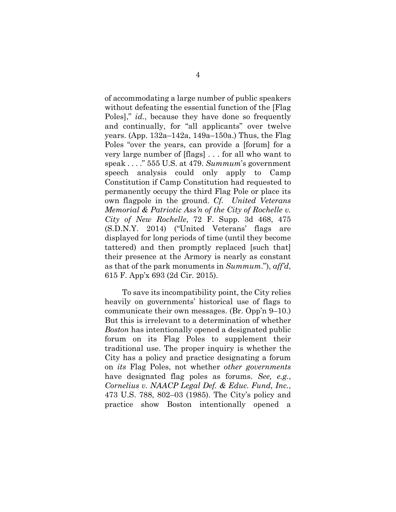of accommodating a large number of public speakers without defeating the essential function of the [Flag Poles]," *id.*, because they have done so frequently and continually, for "all applicants" over twelve years. (App. 132a–142a, 149a–150a.) Thus, the Flag Poles "over the years, can provide a [forum] for a very large number of [flags] . . . for all who want to speak . . . ." 555 U.S. at 479. *Summum*'s government speech analysis could only apply to Camp Constitution if Camp Constitution had requested to permanently occupy the third Flag Pole or place its own flagpole in the ground. *Cf. United Veterans Memorial & Patriotic Ass'n of the City of Rochelle v. City of New Rochelle*, 72 F. Supp. 3d 468, 475 (S.D.N.Y. 2014) ("United Veterans' flags are displayed for long periods of time (until they become tattered) and then promptly replaced [such that] their presence at the Armory is nearly as constant as that of the park monuments in *Summum*."), *aff'd*, 615 F. App'x 693 (2d Cir. 2015).

 To save its incompatibility point, the City relies heavily on governments' historical use of flags to communicate their own messages. (Br. Opp'n 9–10.) But this is irrelevant to a determination of whether *Boston* has intentionally opened a designated public forum on its Flag Poles to supplement their traditional use. The proper inquiry is whether the City has a policy and practice designating a forum on *its* Flag Poles, not whether *other governments* have designated flag poles as forums. *See, e.g.*, *Cornelius v. NAACP Legal Def. & Educ. Fund, Inc.*, 473 U.S. 788, 802–03 (1985). The City's policy and practice show Boston intentionally opened a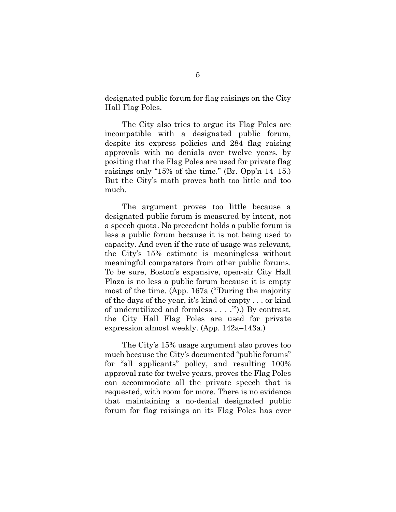designated public forum for flag raisings on the City Hall Flag Poles.

 The City also tries to argue its Flag Poles are incompatible with a designated public forum, despite its express policies and 284 flag raising approvals with no denials over twelve years, by positing that the Flag Poles are used for private flag raisings only "15% of the time." (Br. Opp'n 14–15.) But the City's math proves both too little and too much.

 The argument proves too little because a designated public forum is measured by intent, not a speech quota. No precedent holds a public forum is less a public forum because it is not being used to capacity. And even if the rate of usage was relevant, the City's 15% estimate is meaningless without meaningful comparators from other public forums. To be sure, Boston's expansive, open-air City Hall Plaza is no less a public forum because it is empty most of the time. (App. 167a ("'During the majority of the days of the year, it's kind of empty . . . or kind of underutilized and formless . . . .'").) By contrast, the City Hall Flag Poles are used for private expression almost weekly. (App. 142a–143a.)

 The City's 15% usage argument also proves too much because the City's documented "public forums" for "all applicants" policy, and resulting 100% approval rate for twelve years, proves the Flag Poles can accommodate all the private speech that is requested, with room for more. There is no evidence that maintaining a no-denial designated public forum for flag raisings on its Flag Poles has ever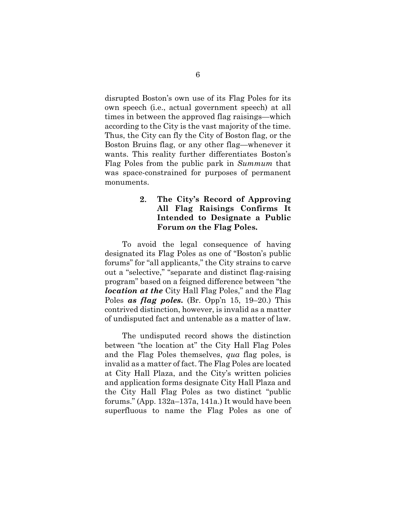disrupted Boston's own use of its Flag Poles for its own speech (i.e., actual government speech) at all times in between the approved flag raisings—which according to the City is the vast majority of the time. Thus, the City can fly the City of Boston flag, or the Boston Bruins flag, or any other flag—whenever it wants. This reality further differentiates Boston's Flag Poles from the public park in *Summum* that was space-constrained for purposes of permanent monuments.

#### 2. **The City's Record of Approving All Flag Raisings Confirms It Intended to Designate a Public Forum** *on* **the Flag Poles.**

 To avoid the legal consequence of having designated its Flag Poles as one of "Boston's public forums" for "all applicants," the City strains to carve out a "selective," "separate and distinct flag-raising program" based on a feigned difference between "the *location at the* City Hall Flag Poles," and the Flag Poles *as flag poles***.** (Br. Opp'n 15, 19–20.) This contrived distinction, however, is invalid as a matter of undisputed fact and untenable as a matter of law.

 The undisputed record shows the distinction between "the location at" the City Hall Flag Poles and the Flag Poles themselves, *qua* flag poles, is invalid as a matter of fact. The Flag Poles are located at City Hall Plaza, and the City's written policies and application forms designate City Hall Plaza and the City Hall Flag Poles as two distinct "public forums." (App. 132a–137a, 141a.) It would have been superfluous to name the Flag Poles as one of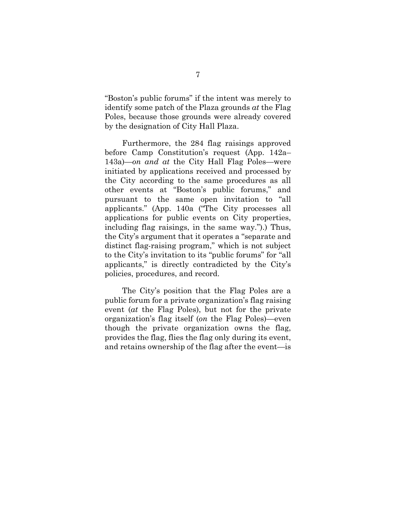"Boston's public forums" if the intent was merely to identify some patch of the Plaza grounds *at* the Flag Poles, because those grounds were already covered by the designation of City Hall Plaza.

 Furthermore, the 284 flag raisings approved before Camp Constitution's request (App. 142a– 143a)—*on and at* the City Hall Flag Poles—were initiated by applications received and processed by the City according to the same procedures as all other events at "Boston's public forums," and pursuant to the same open invitation to "all applicants." (App. 140a ("The City processes all applications for public events on City properties, including flag raisings, in the same way.").) Thus, the City's argument that it operates a "separate and distinct flag-raising program," which is not subject to the City's invitation to its "public forums" for "all applicants," is directly contradicted by the City's policies, procedures, and record.

 The City's position that the Flag Poles are a public forum for a private organization's flag raising event (*at* the Flag Poles), but not for the private organization's flag itself (*on* the Flag Poles)—even though the private organization owns the flag, provides the flag, flies the flag only during its event, and retains ownership of the flag after the event—is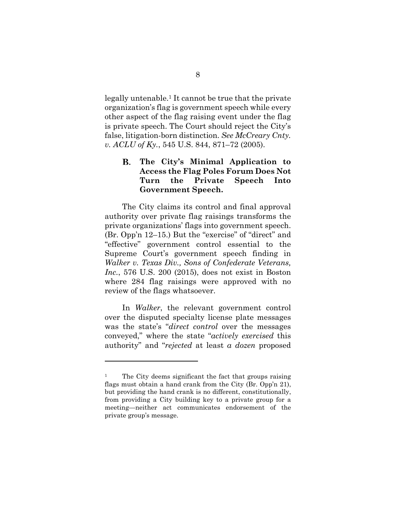legally untenable.1 It cannot be true that the private organization's flag is government speech while every other aspect of the flag raising event under the flag is private speech. The Court should reject the City's false, litigation-born distinction. *See McCreary Cnty. v. ACLU of Ky.*, 545 U.S. 844, 871–72 (2005).

#### **The City's Minimal Application to**  В. **Access the Flag Poles Forum Does Not Turn the Private Speech Into Government Speech.**

 The City claims its control and final approval authority over private flag raisings transforms the private organizations' flags into government speech. (Br. Opp'n 12–15.) But the "exercise" of "direct" and "effective" government control essential to the Supreme Court's government speech finding in *Walker v. Texas Div., Sons of Confederate Veterans, Inc.*, 576 U.S. 200 (2015), does not exist in Boston where 284 flag raisings were approved with no review of the flags whatsoever.

 In *Walker*, the relevant government control over the disputed specialty license plate messages was the state's "*direct control* over the messages conveyed," where the state "*actively exercised* this authority" and "*rejected* at least *a dozen* proposed

<sup>&</sup>lt;sup>1</sup> The City deems significant the fact that groups raising flags must obtain a hand crank from the City (Br. Opp'n 21), but providing the hand crank is no different, constitutionally, from providing a City building key to a private group for a meeting—neither act communicates endorsement of the private group's message.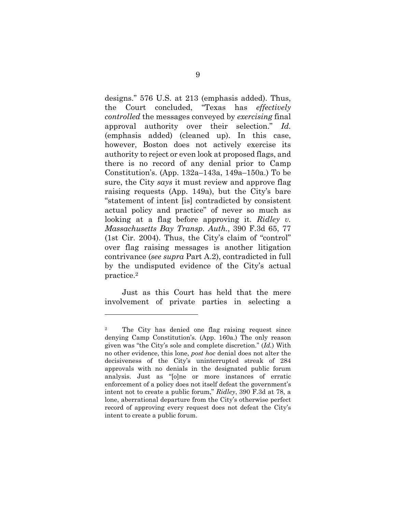designs." 576 U.S. at 213 (emphasis added). Thus, the Court concluded, "Texas has *effectively controlled* the messages conveyed by *exercising* final approval authority over their selection." *Id.* (emphasis added) (cleaned up). In this case, however, Boston does not actively exercise its authority to reject or even look at proposed flags, and there is no record of any denial prior to Camp Constitution's. (App. 132a–143a, 149a–150a.) To be sure, the City *says* it must review and approve flag raising requests (App. 149a), but the City's bare "statement of intent [is] contradicted by consistent actual policy and practice" of never so much as looking at a flag before approving it. *Ridley v. Massachusetts Bay Transp. Auth.*, 390 F.3d 65, 77 (1st Cir. 2004). Thus, the City's claim of "control" over flag raising messages is another litigation contrivance (*see supra* Part A.2), contradicted in full by the undisputed evidence of the City's actual practice.2

 Just as this Court has held that the mere involvement of private parties in selecting a

<sup>2</sup> The City has denied one flag raising request since denying Camp Constitution's. (App. 160a.) The only reason given was "the City's sole and complete discretion." (*Id.*) With no other evidence, this lone, *post hoc* denial does not alter the decisiveness of the City's uninterrupted streak of 284 approvals with no denials in the designated public forum analysis. Just as "[o]ne or more instances of erratic enforcement of a policy does not itself defeat the government's intent not to create a public forum," *Ridley*, 390 F.3d at 78, a lone, aberrational departure from the City's otherwise perfect record of approving every request does not defeat the City's intent to create a public forum.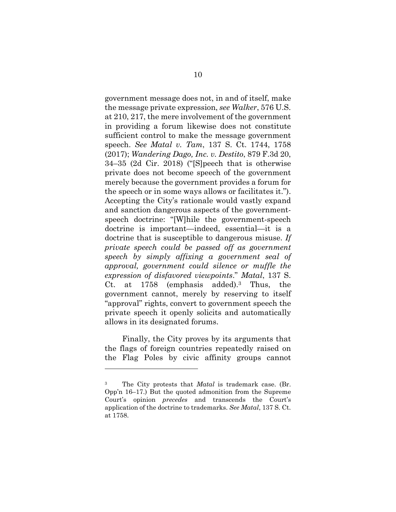government message does not, in and of itself, make the message private expression, *see Walker*, 576 U.S. at 210, 217, the mere involvement of the government in providing a forum likewise does not constitute sufficient control to make the message government speech. *See Matal v. Tam*, 137 S. Ct. 1744, 1758 (2017); *Wandering Dago, Inc. v. Destito*, 879 F.3d 20, 34–35 (2d Cir. 2018) ("[S]peech that is otherwise private does not become speech of the government merely because the government provides a forum for the speech or in some ways allows or facilitates it."). Accepting the City's rationale would vastly expand and sanction dangerous aspects of the governmentspeech doctrine: "[W]hile the government-speech doctrine is important—indeed, essential—it is a doctrine that is susceptible to dangerous misuse. *If private speech could be passed off as government speech by simply affixing a government seal of approval, government could silence or muffle the expression of disfavored viewpoints*." *Matal*, 137 S. Ct. at 1758 (emphasis added).3 Thus, the government cannot, merely by reserving to itself "approval" rights, convert to government speech the private speech it openly solicits and automatically allows in its designated forums.

 Finally, the City proves by its arguments that the flags of foreign countries repeatedly raised on the Flag Poles by civic affinity groups cannot

The City protests that *Matal* is trademark case. (Br. Opp'n 16–17.) But the quoted admonition from the Supreme Court's opinion *precedes* and transcends the Court's application of the doctrine to trademarks. *See Matal*, 137 S. Ct. at 1758.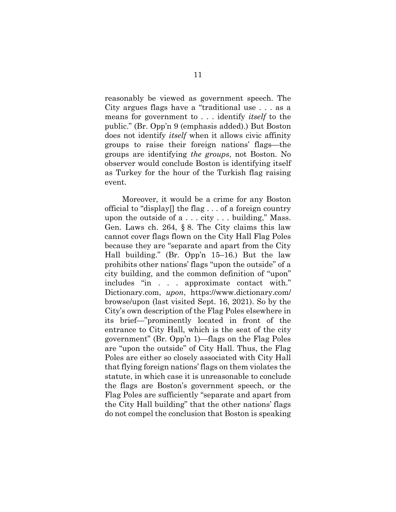reasonably be viewed as government speech. The City argues flags have a "traditional use . . . as a means for government to . . . identify *itself* to the public." (Br. Opp'n 9 (emphasis added).) But Boston does not identify *itself* when it allows civic affinity groups to raise their foreign nations' flags—the groups are identifying *the groups*, not Boston. No observer would conclude Boston is identifying itself as Turkey for the hour of the Turkish flag raising event.

 Moreover, it would be a crime for any Boston official to "display[] the flag . . . of a foreign country upon the outside of a . . . city . . . building," Mass. Gen. Laws ch. 264, § 8. The City claims this law cannot cover flags flown on the City Hall Flag Poles because they are "separate and apart from the City Hall building." (Br. Opp'n 15–16.) But the law prohibits other nations' flags "upon the outside" of a city building, and the common definition of "upon" includes "in . . . approximate contact with." Dictionary.com, *upon*, https://www.dictionary.com/ browse/upon (last visited Sept. 16, 2021). So by the City's own description of the Flag Poles elsewhere in its brief—"prominently located in front of the entrance to City Hall, which is the seat of the city government" (Br. Opp'n 1)—flags on the Flag Poles are "upon the outside" of City Hall. Thus, the Flag Poles are either so closely associated with City Hall that flying foreign nations' flags on them violates the statute, in which case it is unreasonable to conclude the flags are Boston's government speech, or the Flag Poles are sufficiently "separate and apart from the City Hall building" that the other nations' flags do not compel the conclusion that Boston is speaking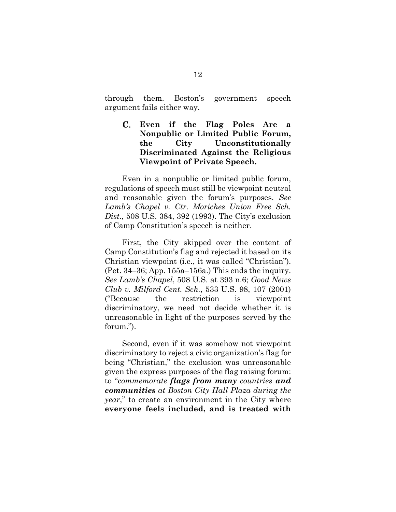through them. Boston's government speech argument fails either way.

### **Even if the Flag Poles Are a Nonpublic or Limited Public Forum, the City Unconstitutionally Discriminated Against the Religious Viewpoint of Private Speech.**

 Even in a nonpublic or limited public forum, regulations of speech must still be viewpoint neutral and reasonable given the forum's purposes. *See Lamb's Chapel v. Ctr. Moriches Union Free Sch. Dist.*, 508 U.S. 384, 392 (1993). The City's exclusion of Camp Constitution's speech is neither.

 First, the City skipped over the content of Camp Constitution's flag and rejected it based on its Christian viewpoint (i.e., it was called "Christian"). (Pet. 34–36; App. 155a–156a.) This ends the inquiry. *See Lamb's Chapel*, 508 U.S. at 393 n.6; *Good News Club v. Milford Cent. Sch.*, 533 U.S. 98, 107 (2001) ("Because the restriction is viewpoint discriminatory, we need not decide whether it is unreasonable in light of the purposes served by the forum.").

 Second, even if it was somehow not viewpoint discriminatory to reject a civic organization's flag for being "Christian," the exclusion was unreasonable given the express purposes of the flag raising forum: to "*commemorate flags from many countries and communities at Boston City Hall Plaza during the year*," to create an environment in the City where **everyone feels included, and is treated with**